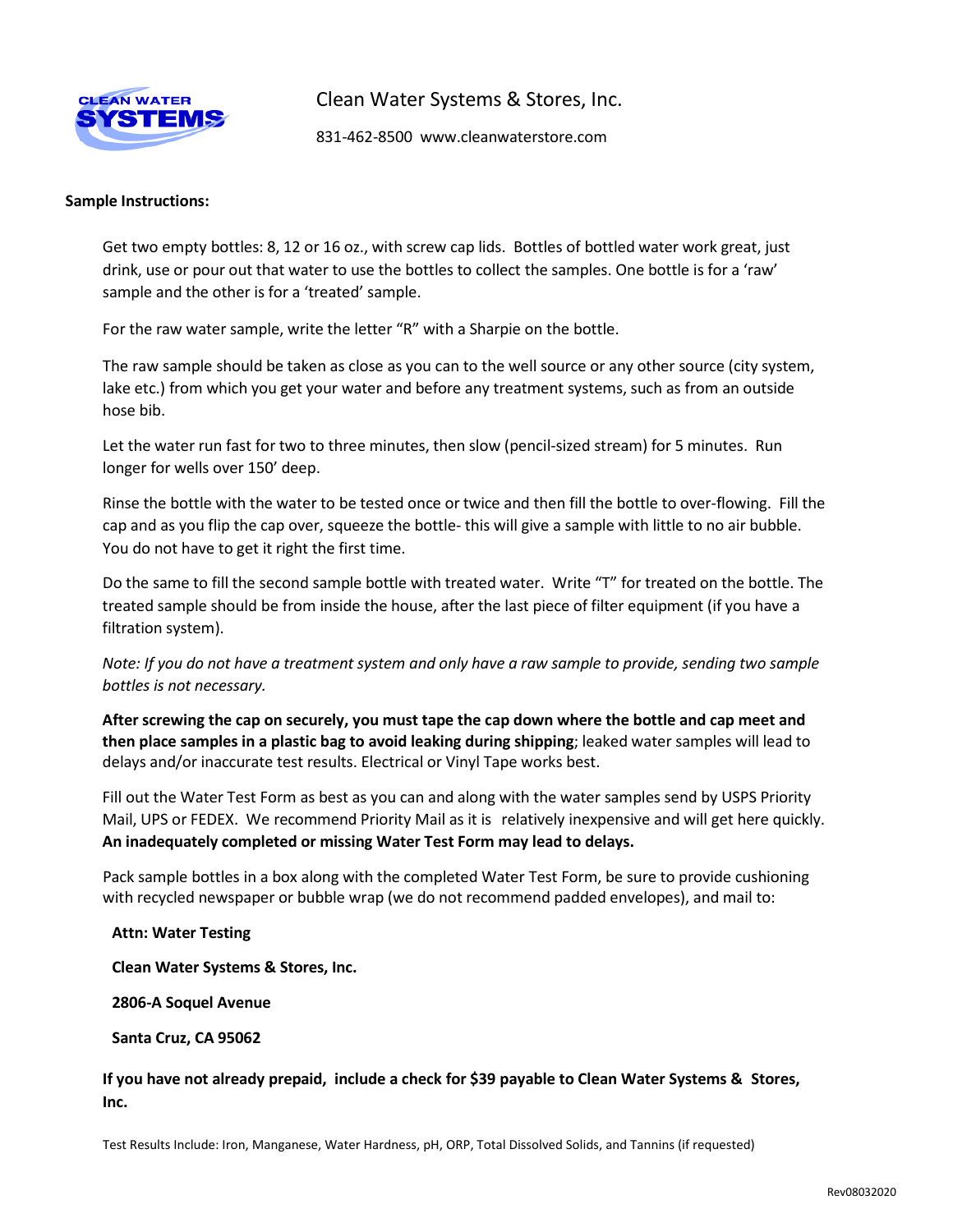

Clean Water Systems & Stores, Inc.

831-462-8500 [www.cleanwaterstore.com](http://www.cleanwaterstore.com/)

## **Sample Instructions:**

Get two empty bottles: 8, 12 or 16 oz., with screw cap lids. Bottles of bottled water work great, just drink, use or pour out that water to use the bottles to collect the samples. One bottle is for a 'raw' sample and the other is for a 'treated' sample.

For the raw water sample, write the letter "R" with a Sharpie on the bottle.

The raw sample should be taken as close as you can to the well source or any other source (city system, lake etc.) from which you get your water and before any treatment systems, such as from an outside hose bib.

Let the water run fast for two to three minutes, then slow (pencil-sized stream) for 5 minutes. Run longer for wells over 150' deep.

Rinse the bottle with the water to be tested once or twice and then fill the bottle to over-flowing. Fill the cap and as you flip the cap over, squeeze the bottle- this will give a sample with little to no air bubble. You do not have to get it right the first time.

Do the same to fill the second sample bottle with treated water. Write "T" for treated on the bottle. The treated sample should be from inside the house, after the last piece of filter equipment (if you have a filtration system).

*Note: If you do not have a treatment system and only have a raw sample to provide, sending two sample bottles is not necessary.*

**After screwing the cap on securely, you must tape the cap down where the bottle and cap meet and then place samples in a plastic bag to avoid leaking during shipping**; leaked water samples will lead to delays and/or inaccurate test results. Electrical or Vinyl Tape works best.

Fill out the Water Test Form as best as you can and along with the water samples send by USPS Priority Mail, UPS or FEDEX. We recommend Priority Mail as it is relatively inexpensive and will get here quickly. **An inadequately completed or missing Water Test Form may lead to delays.**

Pack sample bottles in a box along with the completed Water Test Form, be sure to provide cushioning with recycled newspaper or bubble wrap (we do not recommend padded envelopes), and mail to:

**Attn: Water Testing**

**Clean Water Systems & Stores, Inc.**

**2806-A Soquel Avenue**

**Santa Cruz, CA 95062**

**If you have not already prepaid, include a check for \$39 payable to Clean Water Systems & Stores, Inc.**

Test Results Include: Iron, Manganese, Water Hardness, pH, ORP, Total Dissolved Solids, and Tannins (if requested)